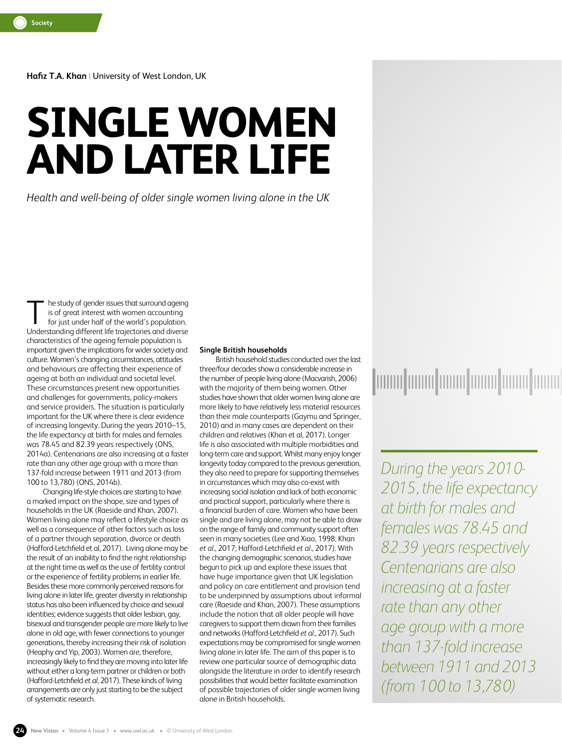**Hafiz T.A. Khan** | University of West London, UK

# **SINGLE WOMEN AND LATER LIFE**

*Health and well-being of older single women living alone in the UK*

he study of gender issues that surround ageing is of great interest with women accounting for just under half of the world's population. The study of gender issues that surround ageing<br>is of great interest with women accounting<br>for just under half of the world's population.<br>Understanding different life trajectories and diverse characteristics of the ageing female population is important given the implications for wider society and culture. Women's changing circumstances, attitudes and behaviours are affecting their experience of ageing at both an individual and societal level. These circumstances present new opportunities and challenges for governments, policy-makers and service providers. The situation is particularly important for the UK where there is clear evidence of increasing longevity. During the years 2010–15, the life expectancy at birth for males and females was 78.45 and 82.39 years respectively (ONS, 2014a). Centenarians are also increasing at a faster rate than any other age group with a more than 137-fold increase between 1911 and 2013 (from 100 to 13,780) (ONS, 2014b).

Changing life-style choices are starting to have a marked impact on the shape, size and types of households in the UK (Raeside and Khan, 2007). Women living alone may reflect a lifestyle choice as well as a consequence of other factors such as loss of a partner through separation, divorce or death (Hafford-Letchfield et al, 2017). Living alone may be the result of an inability to find the right relationship at the right time as well as the use of fertility control or the experience of fertility problems in earlier life. Besides these more commonly perceived reasons for living alone in later life, greater diversity in relationship status has also been influenced by choice and sexual identities; evidence suggests that older lesbian, gay, bisexual and transgender people are more likely to live alone in old age, with fewer connections to younger generations, thereby increasing their risk of isolation (Heaphy and Yip, 2003). Women are, therefore, increasingly likely to find they are moving into later life without either a long-term partner or children or both (Hafford-Letchfield *et al*, 2017). These kinds of living arrangements are only just starting to be the subject of systematic research.

### **Single British households**

British household studies conducted over the last three/four decades show a considerable increase in the number of people living alone (Macvarish, 2006) with the majority of them being women. Other studies have shown that older women living alone are more likely to have relatively less material resources than their male counterparts (Gaymu and Springer, 2010) and in many cases are dependent on their children and relatives (Khan et al, 2017). Longer life is also associated with multiple morbidities and long-term care and support. Whilst many enjoy longer longevity today compared to the previous generation, they also need to prepare for supporting themselves in circumstances which may also co-exist with increasing social isolation and lack of both economic and practical support, particularly where there is a financial burden of care. Women who have been single and are living alone, may not be able to draw on the range of family and community support often seen in many societies (Lee and Xiao, 1998; Khan *et al*., 2017; Hafford-Letchfield *et al*., 2017). With the changing demographic scenarios, studies have begun to pick up and explore these issues that have huge importance given that UK legislation and policy on care entitlement and provision tend to be underpinned by assumptions about informal care (Raeside and Khan, 2007). These assumptions include the notion that all older people will have caregivers to support them drawn from their families and networks (Hafford-Letchfield *et al.*, 2017). Such expectations may be compromised for single women living alone in later life. The aim of this paper is to review one particular source of demographic data alongside the literature in order to identify research possibilities that would better facilitate examination of possible trajectories of older single women living alone in British households.

# **TALLACE DE LA CALCACE DE LA CALCACE DE LA CALCACE DE LA CALCACE DE LA CALCACE DE LA CALCACE DE LA CALCACE DE**

*During the years 2010- 2015, the life expectancy at birth for males and females was 78.45 and 82.39 years respectively Centenarians are also increasing at a faster rate than any other age group with a more than 137-fold increase between 1911 and 2013 (from 100 to 13,780)*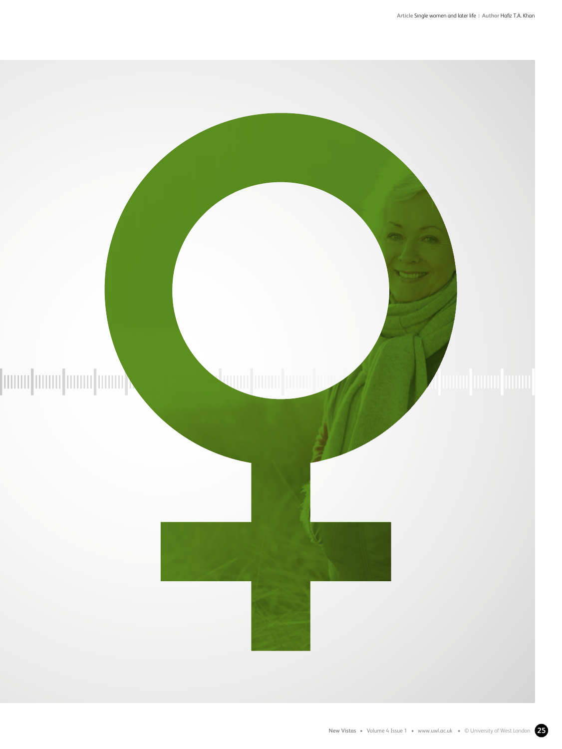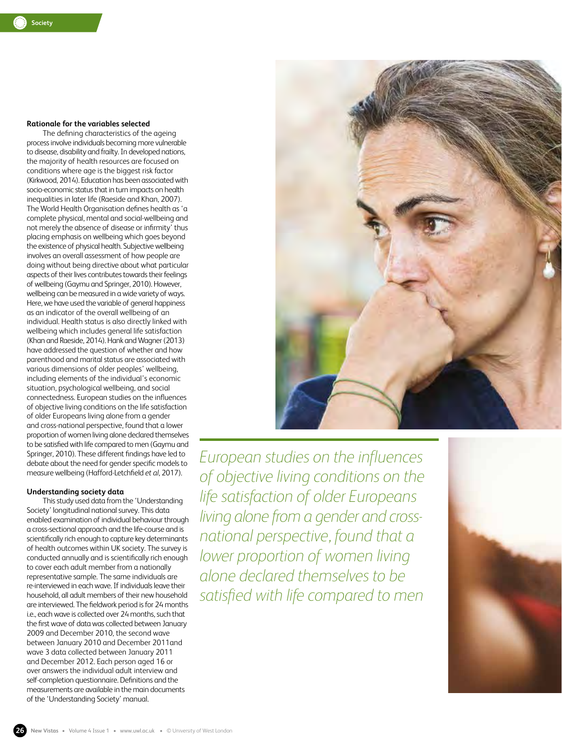#### **Rationale for the variables selected**

The defining characteristics of the ageing process involve individuals becoming more vulnerable to disease, disability and frailty. In developed nations, the majority of health resources are focused on conditions where age is the biggest risk factor (Kirkwood, 2014). Education has been associated with socio-economic status that in turn impacts on health inequalities in later life (Raeside and Khan, 2007). The World Health Organisation defines health as 'a complete physical, mental and social-wellbeing and not merely the absence of disease or infirmity' thus placing emphasis on wellbeing which goes beyond the existence of physical health. Subjective wellbeing involves an overall assessment of how people are doing without being directive about what particular aspects of their lives contributes towards their feelings of wellbeing (Gaymu and Springer, 2010). However, wellbeing can be measured in a wide variety of ways. Here, we have used the variable of general happiness as an indicator of the overall wellbeing of an individual. Health status is also directly linked with wellbeing which includes general life satisfaction (Khan and Raeside, 2014). Hank and Wagner (2013) have addressed the question of whether and how parenthood and marital status are associated with various dimensions of older peoples' wellbeing, including elements of the individual's economic situation, psychological wellbeing, and social connectedness. European studies on the influences of objective living conditions on the life satisfaction of older Europeans living alone from a gender and cross-national perspective, found that a lower proportion of women living alone declared themselves to be satisfied with life compared to men (Gaymu and Springer, 2010). These different findings have led to debate about the need for gender specific models to measure wellbeing (Hafford-Letchfield *et al*, 2017).

#### **Understanding society data**

This study used data from the 'Understanding Society' longitudinal national survey. This data enabled examination of individual behaviour through a cross-sectional approach and the life-course and is scientifically rich enough to capture key determinants of health outcomes within UK society. The survey is conducted annually and is scientifically rich enough to cover each adult member from a nationally representative sample. The same individuals are re-interviewed in each wave. If individuals leave their household, all adult members of their new household are interviewed. The fieldwork period is for 24 months i.e., each wave is collected over 24 months, such that the first wave of data was collected between January 2009 and December 2010, the second wave between January 2010 and December 2011and wave 3 data collected between January 2011 and December 2012. Each person aged 16 or over answers the individual adult interview and self-completion questionnaire. Definitions and the measurements are available in the main documents of the 'Understanding Society' manual.





 **Society**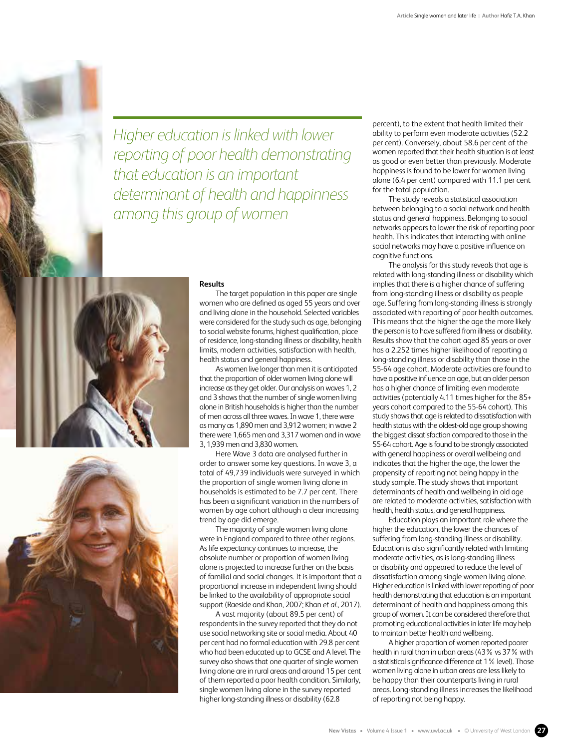

*Higher education is linked with lower reporting of poor health demonstrating that education is an important determinant of health and happinness among this group of women*



The target population in this paper are single women who are defined as aged 55 years and over and living alone in the household. Selected variables were considered for the study such as age, belonging to social website forums, highest qualification, place of residence, long-standing illness or disability, health limits, modern activities, satisfaction with health, health status and general happiness.

As women live longer than men it is anticipated that the proportion of older women living alone will increase as they get older. Our analysis on waves 1, 2 and 3 shows that the number of single women living alone in British households is higher than the number of men across all three waves. In wave 1, there were as many as 1,890 men and 3,912 women; in wave 2 there were 1,665 men and 3,317 women and in wave 3, 1,939 men and 3,830 women.

Here Wave 3 data are analysed further in order to answer some key questions. In wave 3, a total of 49,739 individuals were surveyed in which the proportion of single women living alone in households is estimated to be 7.7 per cent. There has been a significant variation in the numbers of women by age cohort although a clear increasing trend by age did emerge.

The majority of single women living alone were in England compared to three other regions. As life expectancy continues to increase, the absolute number or proportion of women living alone is projected to increase further on the basis of familial and social changes. It is important that a proportional increase in independent living should be linked to the availability of appropriate social support (Raeside and Khan, 2007; Khan *et al*., 2017).

A vast majority (about 89.5 per cent) of respondents in the survey reported that they do not use social networking site or social media. About 40 per cent had no formal education with 29.8 per cent who had been educated up to GCSE and A level. The survey also shows that one quarter of single women living alone are in rural areas and around 15 per cent of them reported a poor health condition. Similarly, single women living alone in the survey reported higher long-standing illness or disability (62.8

percent), to the extent that health limited their ability to perform even moderate activities (52.2 per cent). Conversely, about 58.6 per cent of the women reported that their health situation is at least as good or even better than previously. Moderate happiness is found to be lower for women living alone (6.4 per cent) compared with 11.1 per cent for the total population.

The study reveals a statistical association between belonging to a social network and health status and general happiness. Belonging to social networks appears to lower the risk of reporting poor health. This indicates that interacting with online social networks may have a positive influence on cognitive functions.

The analysis for this study reveals that age is related with long-standing illness or disability which implies that there is a higher chance of suffering from long-standing illness or disability as people age. Suffering from long-standing illness is strongly associated with reporting of poor health outcomes. This means that the higher the age the more likely the person is to have suffered from illness or disability. Results show that the cohort aged 85 years or over has a 2.252 times higher likelihood of reporting a long-standing illness or disability than those in the 55-64 age cohort. Moderate activities are found to have a positive influence on age, but an older person has a higher chance of limiting even moderate activities (potentially 4.11 times higher for the 85+ years cohort compared to the 55-64 cohort). This study shows that age is related to dissatisfaction with health status with the oldest-old age group showing the biggest dissatisfaction compared to those in the 55-64 cohort. Age is found to be strongly associated with general happiness or overall wellbeing and indicates that the higher the age, the lower the propensity of reporting not being happy in the study sample. The study shows that important determinants of health and wellbeing in old age are related to moderate activities, satisfaction with health, health status, and general happiness.

Education plays an important role where the higher the education, the lower the chances of suffering from long-standing illness or disability. Education is also significantly related with limiting moderate activities, as is long-standing illness or disability and appeared to reduce the level of dissatisfaction among single women living alone. Higher education is linked with lower reporting of poor health demonstrating that education is an important determinant of health and happiness among this group of women. It can be considered therefore that promoting educational activities in later life may help to maintain better health and wellbeing.

A higher proportion of women reported poorer health in rural than in urban areas (43% vs 37% with a statistical significance difference at 1% level). Those women living alone in urban areas are less likely to be happy than their counterparts living in rural areas. Long-standing illness increases the likelihood of reporting not being happy.